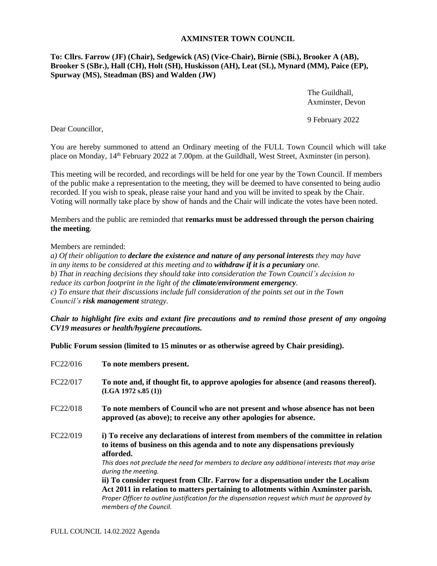## **AXMINSTER TOWN COUNCIL**

## **To: Cllrs. Farrow (JF) (Chair), Sedgewick (AS) (Vice-Chair), Birnie (SBi.), Brooker A (AB), Brooker S (SBr.), Hall (CH), Holt (SH), Huskisson (AH), Leat (SL), Mynard (MM), Paice (EP), Spurway (MS), Steadman (BS) and Walden (JW)**

The Guildhall, Axminster, Devon

9 February 2022

Dear Councillor,

You are hereby summoned to attend an Ordinary meeting of the FULL Town Council which will take place on Monday, 14<sup>th</sup> February 2022 at 7.00pm. at the Guildhall, West Street, Axminster (in person).

This meeting will be recorded, and recordings will be held for one year by the Town Council. If members of the public make a representation to the meeting, they will be deemed to have consented to being audio recorded. If you wish to speak, please raise your hand and you will be invited to speak by the Chair. Voting will normally take place by show of hands and the Chair will indicate the votes have been noted.

Members and the public are reminded that **remarks must be addressed through the person chairing the meeting**.

## Members are reminded:

*a) Of their obligation to declare the existence and nature of any personal interests they may have in any items to be considered at this meeting and to withdraw if it is a pecuniary one. b) That in reaching decisions they should take into consideration the Town Council's decision to reduce its carbon footprint in the light of the climate/environment emergency. c) To ensure that their discussions include full consideration of the points set out in the Town Council's risk management strategy.*

*Chair to highlight fire exits and extant fire precautions and to remind those present of any ongoing CV19 measures or health/hygiene precautions.*

**Public Forum session (limited to 15 minutes or as otherwise agreed by Chair presiding).**

| FC22/016 | To note members present.                                                                                                                                                                                                                                                                                                                                                                                                                                                                                                                                                                                        |
|----------|-----------------------------------------------------------------------------------------------------------------------------------------------------------------------------------------------------------------------------------------------------------------------------------------------------------------------------------------------------------------------------------------------------------------------------------------------------------------------------------------------------------------------------------------------------------------------------------------------------------------|
| FC22/017 | To note and, if thought fit, to approve apologies for absence (and reasons thereof).<br>(LGA 1972 s.85(1))                                                                                                                                                                                                                                                                                                                                                                                                                                                                                                      |
| FC22/018 | To note members of Council who are not present and whose absence has not been<br>approved (as above); to receive any other apologies for absence.                                                                                                                                                                                                                                                                                                                                                                                                                                                               |
| FC22/019 | i) To receive any declarations of interest from members of the committee in relation<br>to items of business on this agenda and to note any dispensations previously<br>afforded.<br>This does not preclude the need for members to declare any additional interests that may arise<br>during the meeting.<br>ii) To consider request from Cllr. Farrow for a dispensation under the Localism<br>Act 2011 in relation to matters pertaining to allotments within Axminster parish.<br>Proper Officer to outline justification for the dispensation request which must be approved by<br>members of the Council. |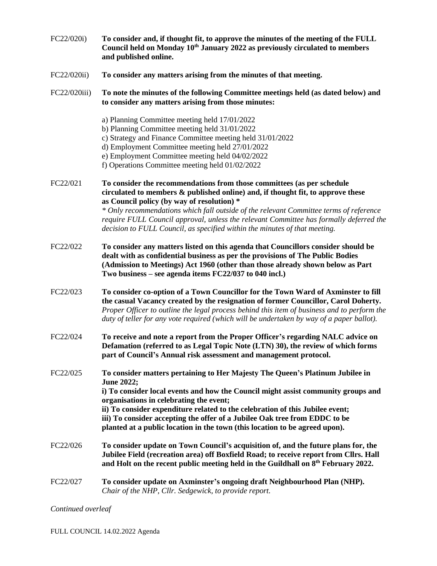| FC22/020i)   | To consider and, if thought fit, to approve the minutes of the meeting of the FULL<br>Council held on Monday 10 <sup>th</sup> January 2022 as previously circulated to members<br>and published online.                                                                                                                                                                                                                                                                          |
|--------------|----------------------------------------------------------------------------------------------------------------------------------------------------------------------------------------------------------------------------------------------------------------------------------------------------------------------------------------------------------------------------------------------------------------------------------------------------------------------------------|
| FC22/020ii)  | To consider any matters arising from the minutes of that meeting.                                                                                                                                                                                                                                                                                                                                                                                                                |
| FC22/020iii) | To note the minutes of the following Committee meetings held (as dated below) and<br>to consider any matters arising from those minutes:                                                                                                                                                                                                                                                                                                                                         |
|              | a) Planning Committee meeting held 17/01/2022<br>b) Planning Committee meeting held 31/01/2022<br>c) Strategy and Finance Committee meeting held 31/01/2022<br>d) Employment Committee meeting held 27/01/2022<br>e) Employment Committee meeting held 04/02/2022<br>f) Operations Committee meeting held 01/02/2022                                                                                                                                                             |
| FC22/021     | To consider the recommendations from those committees (as per schedule<br>circulated to members & published online) and, if thought fit, to approve these<br>as Council policy (by way of resolution) *<br>* Only recommendations which fall outside of the relevant Committee terms of reference<br>require FULL Council approval, unless the relevant Committee has formally deferred the<br>decision to FULL Council, as specified within the minutes of that meeting.        |
| FC22/022     | To consider any matters listed on this agenda that Councillors consider should be<br>dealt with as confidential business as per the provisions of The Public Bodies<br>(Admission to Meetings) Act 1960 (other than those already shown below as Part<br>Two business – see agenda items FC22/037 to 040 incl.)                                                                                                                                                                  |
| FC22/023     | To consider co-option of a Town Councillor for the Town Ward of Axminster to fill<br>the casual Vacancy created by the resignation of former Councillor, Carol Doherty.<br>Proper Officer to outline the legal process behind this item of business and to perform the<br>duty of teller for any vote required (which will be undertaken by way of a paper ballot).                                                                                                              |
| FC22/024     | To receive and note a report from the Proper Officer's regarding NALC advice on<br>Defamation (referred to as Legal Topic Note (LTN) 30), the review of which forms<br>part of Council's Annual risk assessment and management protocol.                                                                                                                                                                                                                                         |
| FC22/025     | To consider matters pertaining to Her Majesty The Queen's Platinum Jubilee in<br><b>June 2022;</b><br>i) To consider local events and how the Council might assist community groups and<br>organisations in celebrating the event;<br>ii) To consider expenditure related to the celebration of this Jubilee event;<br>iii) To consider accepting the offer of a Jubilee Oak tree from EDDC to be<br>planted at a public location in the town (this location to be agreed upon). |
| FC22/026     | To consider update on Town Council's acquisition of, and the future plans for, the<br>Jubilee Field (recreation area) off Boxfield Road; to receive report from Cllrs. Hall<br>and Holt on the recent public meeting held in the Guildhall on 8th February 2022.                                                                                                                                                                                                                 |
| FC22/027     | To consider update on Axminster's ongoing draft Neighbourhood Plan (NHP).<br>Chair of the NHP, Cllr. Sedgewick, to provide report.                                                                                                                                                                                                                                                                                                                                               |

*Continued overleaf*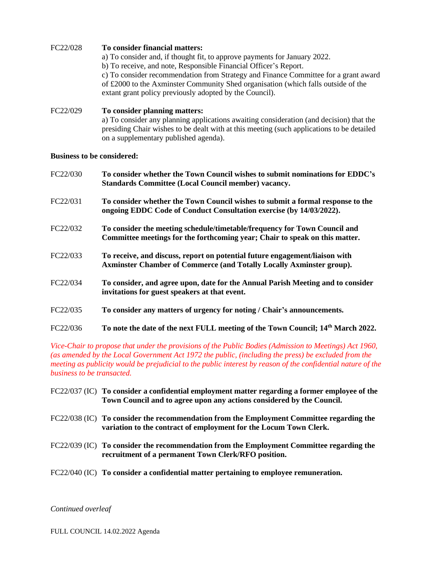| FC22/028                          | To consider financial matters:<br>a) To consider and, if thought fit, to approve payments for January 2022.<br>b) To receive, and note, Responsible Financial Officer's Report.<br>c) To consider recommendation from Strategy and Finance Committee for a grant award<br>of £2000 to the Axminster Community Shed organisation (which falls outside of the<br>extant grant policy previously adopted by the Council). |
|-----------------------------------|------------------------------------------------------------------------------------------------------------------------------------------------------------------------------------------------------------------------------------------------------------------------------------------------------------------------------------------------------------------------------------------------------------------------|
| FC22/029                          | To consider planning matters:<br>a) To consider any planning applications awaiting consideration (and decision) that the<br>presiding Chair wishes to be dealt with at this meeting (such applications to be detailed<br>on a supplementary published agenda).                                                                                                                                                         |
| <b>Business to be considered:</b> |                                                                                                                                                                                                                                                                                                                                                                                                                        |
| FC22/030                          | To consider whether the Town Council wishes to submit nominations for EDDC's<br><b>Standards Committee (Local Council member) vacancy.</b>                                                                                                                                                                                                                                                                             |
| FC22/031                          | To consider whether the Town Council wishes to submit a formal response to the<br>ongoing EDDC Code of Conduct Consultation exercise (by 14/03/2022).                                                                                                                                                                                                                                                                  |
| FC22/032                          | To consider the meeting schedule/timetable/frequency for Town Council and<br>Committee meetings for the forthcoming year; Chair to speak on this matter.                                                                                                                                                                                                                                                               |
| FC22/033                          | To receive, and discuss, report on potential future engagement/liaison with<br>Axminster Chamber of Commerce (and Totally Locally Axminster group).                                                                                                                                                                                                                                                                    |
| FC22/034                          | To consider, and agree upon, date for the Annual Parish Meeting and to consider<br>invitations for guest speakers at that event.                                                                                                                                                                                                                                                                                       |
| FC22/035                          | To consider any matters of urgency for noting / Chair's announcements.                                                                                                                                                                                                                                                                                                                                                 |
|                                   |                                                                                                                                                                                                                                                                                                                                                                                                                        |

FC22/036 **To note the date of the next FULL meeting of the Town Council; 14th March 2022.**

*Vice-Chair to propose that under the provisions of the Public Bodies (Admission to Meetings) Act 1960, (as amended by the Local Government Act 1972 the public, (including the press) be excluded from the meeting as publicity would be prejudicial to the public interest by reason of the confidential nature of the business to be transacted.*

| FC22/037 (IC) To consider a confidential employment matter regarding a former employee of the |
|-----------------------------------------------------------------------------------------------|
| Town Council and to agree upon any actions considered by the Council.                         |

- FC22/038 (IC) **To consider the recommendation from the Employment Committee regarding the variation to the contract of employment for the Locum Town Clerk.**
- FC22/039 (IC) **To consider the recommendation from the Employment Committee regarding the recruitment of a permanent Town Clerk/RFO position.**
- FC22/040 (IC) **To consider a confidential matter pertaining to employee remuneration.**

*Continued overleaf*